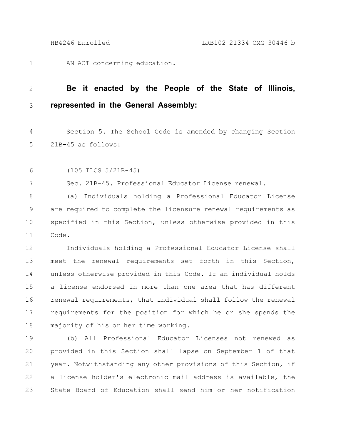AN ACT concerning education. 1

## **Be it enacted by the People of the State of Illinois, represented in the General Assembly:** 2 3

Section 5. The School Code is amended by changing Section 21B-45 as follows: 4 5

(105 ILCS 5/21B-45) 6

7

Sec. 21B-45. Professional Educator License renewal.

(a) Individuals holding a Professional Educator License are required to complete the licensure renewal requirements as specified in this Section, unless otherwise provided in this Code. 8 9 10 11

Individuals holding a Professional Educator License shall meet the renewal requirements set forth in this Section, unless otherwise provided in this Code. If an individual holds a license endorsed in more than one area that has different renewal requirements, that individual shall follow the renewal requirements for the position for which he or she spends the majority of his or her time working. 12 13 14 15 16 17 18

(b) All Professional Educator Licenses not renewed as provided in this Section shall lapse on September 1 of that year. Notwithstanding any other provisions of this Section, if a license holder's electronic mail address is available, the State Board of Education shall send him or her notification 19 20 21 22 23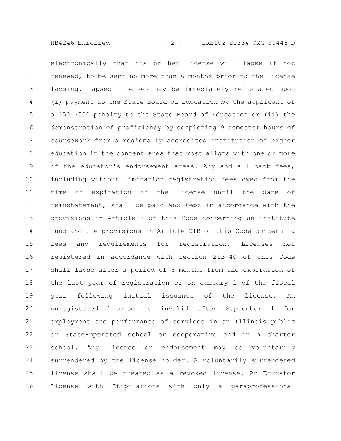HB4246 Enrolled - 2 - LRB102 21334 CMG 30446 b

electronically that his or her license will lapse if not renewed, to be sent no more than 6 months prior to the license lapsing. Lapsed licenses may be immediately reinstated upon (i) payment to the State Board of Education by the applicant of a \$50 \$500 penalty to the State Board of Education or (ii) the demonstration of proficiency by completing 9 semester hours of coursework from a regionally accredited institution of higher education in the content area that most aligns with one or more of the educator's endorsement areas. Any and all back fees, including without limitation registration fees owed from the time of expiration of the license until the date of reinstatement, shall be paid and kept in accordance with the provisions in Article 3 of this Code concerning an institute fund and the provisions in Article 21B of this Code concerning fees and requirements for registration. Licenses not registered in accordance with Section 21B-40 of this Code shall lapse after a period of 6 months from the expiration of the last year of registration or on January 1 of the fiscal year following initial issuance of the license. An unregistered license is invalid after September 1 for employment and performance of services in an Illinois public or State-operated school or cooperative and in a charter school. Any license or endorsement may be voluntarily surrendered by the license holder. A voluntarily surrendered license shall be treated as a revoked license. An Educator License with Stipulations with only a paraprofessional 1 2 3 4 5 6 7 8 9 10 11 12 13 14 15 16 17 18 19 20 21 22 23 24 25 26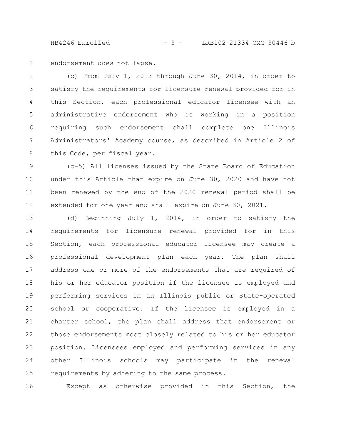HB4246 Enrolled - 3 - LRB102 21334 CMG 30446 b

endorsement does not lapse. 1

(c) From July 1, 2013 through June 30, 2014, in order to satisfy the requirements for licensure renewal provided for in this Section, each professional educator licensee with an administrative endorsement who is working in a position requiring such endorsement shall complete one Illinois Administrators' Academy course, as described in Article 2 of this Code, per fiscal year. 2 3 4 5 6 7 8

(c-5) All licenses issued by the State Board of Education under this Article that expire on June 30, 2020 and have not been renewed by the end of the 2020 renewal period shall be extended for one year and shall expire on June 30, 2021. 9 10 11 12

(d) Beginning July 1, 2014, in order to satisfy the requirements for licensure renewal provided for in this Section, each professional educator licensee may create a professional development plan each year. The plan shall address one or more of the endorsements that are required of his or her educator position if the licensee is employed and performing services in an Illinois public or State-operated school or cooperative. If the licensee is employed in a charter school, the plan shall address that endorsement or those endorsements most closely related to his or her educator position. Licensees employed and performing services in any other Illinois schools may participate in the renewal requirements by adhering to the same process. 13 14 15 16 17 18 19 20 21 22 23 24 25

Except as otherwise provided in this Section, the 26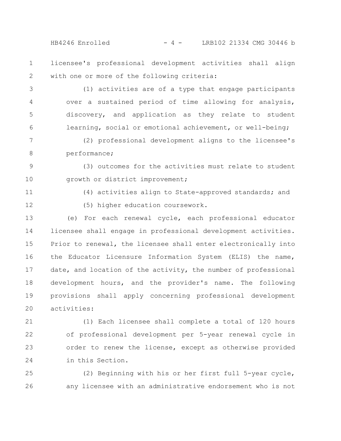$HB4246$  Enrolled  $-4 -$  LRB102 21334 CMG 30446 b

licensee's professional development activities shall align with one or more of the following criteria: 1 2

(1) activities are of a type that engage participants over a sustained period of time allowing for analysis, discovery, and application as they relate to student learning, social or emotional achievement, or well-being; 3 4 5 6

- (2) professional development aligns to the licensee's performance; 7 8
- (3) outcomes for the activities must relate to student growth or district improvement; 9 10

11

(4) activities align to State-approved standards; and

12

- (5) higher education coursework.
- (e) For each renewal cycle, each professional educator licensee shall engage in professional development activities. Prior to renewal, the licensee shall enter electronically into the Educator Licensure Information System (ELIS) the name, date, and location of the activity, the number of professional development hours, and the provider's name. The following provisions shall apply concerning professional development activities: 13 14 15 16 17 18 19 20
- (1) Each licensee shall complete a total of 120 hours of professional development per 5-year renewal cycle in order to renew the license, except as otherwise provided in this Section. 21 22 23 24
- (2) Beginning with his or her first full 5-year cycle, any licensee with an administrative endorsement who is not 25 26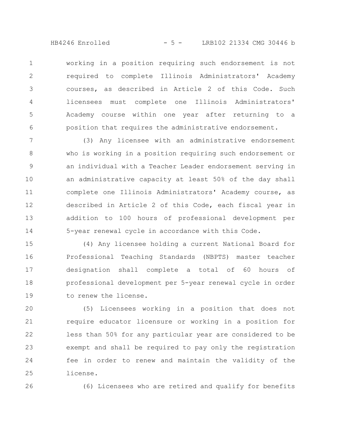HB4246 Enrolled - 5 - LRB102 21334 CMG 30446 b

working in a position requiring such endorsement is not required to complete Illinois Administrators' Academy courses, as described in Article 2 of this Code. Such licensees must complete one Illinois Administrators' Academy course within one year after returning to a position that requires the administrative endorsement. 1 2 3 4 5 6

(3) Any licensee with an administrative endorsement who is working in a position requiring such endorsement or an individual with a Teacher Leader endorsement serving in an administrative capacity at least 50% of the day shall complete one Illinois Administrators' Academy course, as described in Article 2 of this Code, each fiscal year in addition to 100 hours of professional development per 5-year renewal cycle in accordance with this Code. 7 8 9 10 11 12 13 14

(4) Any licensee holding a current National Board for Professional Teaching Standards (NBPTS) master teacher designation shall complete a total of 60 hours of professional development per 5-year renewal cycle in order to renew the license. 15 16 17 18 19

(5) Licensees working in a position that does not require educator licensure or working in a position for less than 50% for any particular year are considered to be exempt and shall be required to pay only the registration fee in order to renew and maintain the validity of the license. 20 21 22 23 24 25

26

(6) Licensees who are retired and qualify for benefits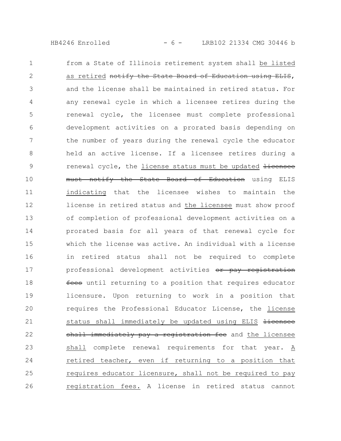HB4246 Enrolled - 6 - LRB102 21334 CMG 30446 b

from a State of Illinois retirement system shall be listed as retired notify the State Board of Education using ELIS, and the license shall be maintained in retired status. For any renewal cycle in which a licensee retires during the renewal cycle, the licensee must complete professional development activities on a prorated basis depending on the number of years during the renewal cycle the educator held an active license. If a licensee retires during a renewal cycle, the license status must be updated Hicensee must notify the State Board of Education using ELIS indicating that the licensee wishes to maintain the license in retired status and the licensee must show proof of completion of professional development activities on a prorated basis for all years of that renewal cycle for which the license was active. An individual with a license in retired status shall not be required to complete professional development activities or pay registration fees until returning to a position that requires educator licensure. Upon returning to work in a position that requires the Professional Educator License, the license status shall immediately be updated using ELIS licensee shall immediately pay a registration fee and the licensee shall complete renewal requirements for that year. A retired teacher, even if returning to a position that requires educator licensure, shall not be required to pay registration fees. A license in retired status cannot 1 2 3 4 5 6 7 8 9 10 11 12 13 14 15 16 17 18 19 20 21 22 23 24 25 26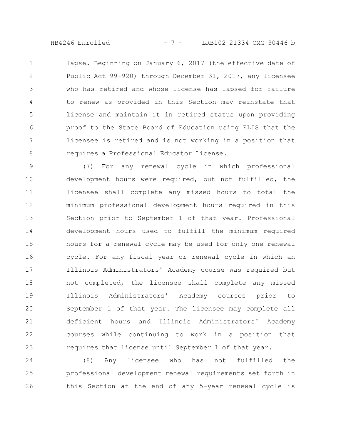HB4246 Enrolled - 7 - LRB102 21334 CMG 30446 b

lapse. Beginning on January 6, 2017 (the effective date of Public Act 99-920) through December 31, 2017, any licensee who has retired and whose license has lapsed for failure to renew as provided in this Section may reinstate that license and maintain it in retired status upon providing proof to the State Board of Education using ELIS that the licensee is retired and is not working in a position that requires a Professional Educator License. 1 2 3 4 5 6 7 8

(7) For any renewal cycle in which professional development hours were required, but not fulfilled, the licensee shall complete any missed hours to total the minimum professional development hours required in this Section prior to September 1 of that year. Professional development hours used to fulfill the minimum required hours for a renewal cycle may be used for only one renewal cycle. For any fiscal year or renewal cycle in which an Illinois Administrators' Academy course was required but not completed, the licensee shall complete any missed Illinois Administrators' Academy courses prior to September 1 of that year. The licensee may complete all deficient hours and Illinois Administrators' Academy courses while continuing to work in a position that requires that license until September 1 of that year. 9 10 11 12 13 14 15 16 17 18 19 20 21 22 23

(8) Any licensee who has not fulfilled the professional development renewal requirements set forth in this Section at the end of any 5-year renewal cycle is 24 25 26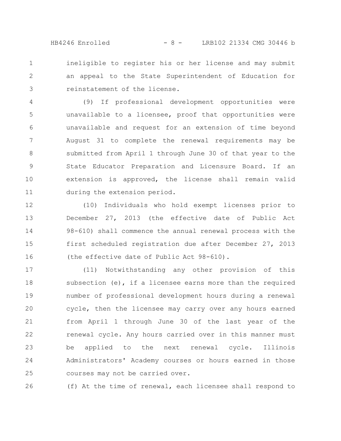HB4246 Enrolled - 8 - LRB102 21334 CMG 30446 b

ineligible to register his or her license and may submit an appeal to the State Superintendent of Education for reinstatement of the license. 1 2 3

(9) If professional development opportunities were unavailable to a licensee, proof that opportunities were unavailable and request for an extension of time beyond August 31 to complete the renewal requirements may be submitted from April 1 through June 30 of that year to the State Educator Preparation and Licensure Board. If an extension is approved, the license shall remain valid during the extension period. 4 5 6 7 8 9 10 11

(10) Individuals who hold exempt licenses prior to December 27, 2013 (the effective date of Public Act 98-610) shall commence the annual renewal process with the first scheduled registration due after December 27, 2013 (the effective date of Public Act 98-610). 12 13 14 15 16

(11) Notwithstanding any other provision of this subsection  $(e)$ , if a licensee earns more than the required number of professional development hours during a renewal cycle, then the licensee may carry over any hours earned from April 1 through June 30 of the last year of the renewal cycle. Any hours carried over in this manner must be applied to the next renewal cycle. Illinois Administrators' Academy courses or hours earned in those courses may not be carried over. 17 18 19 20 21 22 23 24 25

(f) At the time of renewal, each licensee shall respond to 26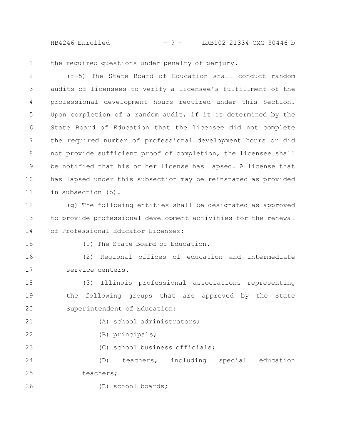HB4246 Enrolled - 9 - LRB102 21334 CMG 30446 b

the required questions under penalty of perjury. 1

(f-5) The State Board of Education shall conduct random audits of licensees to verify a licensee's fulfillment of the professional development hours required under this Section. Upon completion of a random audit, if it is determined by the State Board of Education that the licensee did not complete the required number of professional development hours or did not provide sufficient proof of completion, the licensee shall be notified that his or her license has lapsed. A license that has lapsed under this subsection may be reinstated as provided in subsection (b). 2 3 4 5 6 7 8 9 10 11

(g) The following entities shall be designated as approved to provide professional development activities for the renewal of Professional Educator Licenses: 12 13 14

15

(1) The State Board of Education.

(2) Regional offices of education and intermediate service centers. 16 17

(3) Illinois professional associations representing the following groups that are approved by the State Superintendent of Education: 18 19 20

21

22

(A) school administrators;

(B) principals;

(C) school business officials; 23

(D) teachers, including special education teachers; 24 25

(E) school boards; 26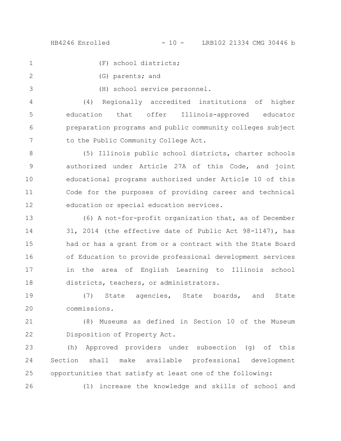1

2

3

26

(F) school districts;

- (G) parents; and
	- (H) school service personnel.

(4) Regionally accredited institutions of higher education that offer Illinois-approved educator preparation programs and public community colleges subject to the Public Community College Act. 4 5 6 7

(5) Illinois public school districts, charter schools authorized under Article 27A of this Code, and joint educational programs authorized under Article 10 of this Code for the purposes of providing career and technical education or special education services. 8 9 10 11 12

(6) A not-for-profit organization that, as of December 31, 2014 (the effective date of Public Act 98-1147), has had or has a grant from or a contract with the State Board of Education to provide professional development services in the area of English Learning to Illinois school districts, teachers, or administrators. 13 14 15 16 17 18

(7) State agencies, State boards, and State commissions. 19 20

(8) Museums as defined in Section 10 of the Museum Disposition of Property Act. 21 22

(h) Approved providers under subsection (g) of this Section shall make available professional development opportunities that satisfy at least one of the following: 23 24 25

(1) increase the knowledge and skills of school and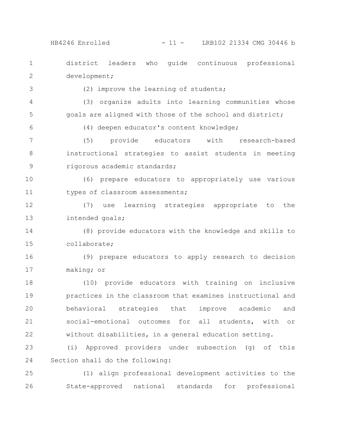HB4246 Enrolled - 11 - LRB102 21334 CMG 30446 b

district leaders who guide continuous professional development; (2) improve the learning of students; (3) organize adults into learning communities whose goals are aligned with those of the school and district; (4) deepen educator's content knowledge; (5) provide educators with research-based instructional strategies to assist students in meeting rigorous academic standards; (6) prepare educators to appropriately use various types of classroom assessments; (7) use learning strategies appropriate to the intended goals; (8) provide educators with the knowledge and skills to collaborate; (9) prepare educators to apply research to decision making; or (10) provide educators with training on inclusive practices in the classroom that examines instructional and behavioral strategies that improve academic and social-emotional outcomes for all students, with or without disabilities, in a general education setting. (i) Approved providers under subsection (g) of this Section shall do the following: (1) align professional development activities to the State-approved national standards for professional 1 2 3 4 5 6 7 8 9 10 11 12 13 14 15 16 17 18 19 20 21 22 23 24 25 26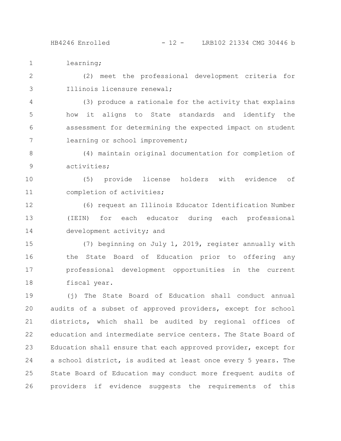learning; 1

(2) meet the professional development criteria for Illinois licensure renewal; 2 3

(3) produce a rationale for the activity that explains how it aligns to State standards and identify the assessment for determining the expected impact on student learning or school improvement; 4 5 6 7

(4) maintain original documentation for completion of activities; 8 9

(5) provide license holders with evidence of completion of activities; 10 11

(6) request an Illinois Educator Identification Number (IEIN) for each educator during each professional development activity; and 12 13 14

(7) beginning on July 1, 2019, register annually with the State Board of Education prior to offering any professional development opportunities in the current fiscal year. 15 16 17 18

(j) The State Board of Education shall conduct annual audits of a subset of approved providers, except for school districts, which shall be audited by regional offices of education and intermediate service centers. The State Board of Education shall ensure that each approved provider, except for a school district, is audited at least once every 5 years. The State Board of Education may conduct more frequent audits of providers if evidence suggests the requirements of this 19 20 21 22 23 24 25 26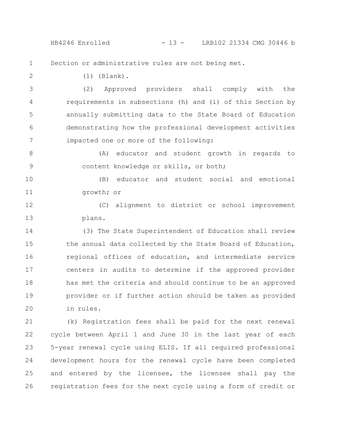HB4246 Enrolled - 13 - LRB102 21334 CMG 30446 b

Section or administrative rules are not being met. 1

2

(1) (Blank).

(2) Approved providers shall comply with the requirements in subsections (h) and (i) of this Section by annually submitting data to the State Board of Education demonstrating how the professional development activities impacted one or more of the following: 3 4 5 6 7

(A) educator and student growth in regards to content knowledge or skills, or both; 8 9

(B) educator and student social and emotional growth; or 10 11

(C) alignment to district or school improvement plans. 12 13

(3) The State Superintendent of Education shall review the annual data collected by the State Board of Education, regional offices of education, and intermediate service centers in audits to determine if the approved provider has met the criteria and should continue to be an approved provider or if further action should be taken as provided in rules. 14 15 16 17 18 19 20

(k) Registration fees shall be paid for the next renewal cycle between April 1 and June 30 in the last year of each 5-year renewal cycle using ELIS. If all required professional development hours for the renewal cycle have been completed and entered by the licensee, the licensee shall pay the registration fees for the next cycle using a form of credit or 21 22 23 24 25 26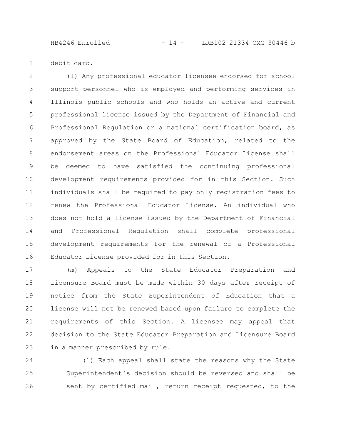HB4246 Enrolled - 14 - LRB102 21334 CMG 30446 b

debit card. 1

(l) Any professional educator licensee endorsed for school support personnel who is employed and performing services in Illinois public schools and who holds an active and current professional license issued by the Department of Financial and Professional Regulation or a national certification board, as approved by the State Board of Education, related to the endorsement areas on the Professional Educator License shall be deemed to have satisfied the continuing professional development requirements provided for in this Section. Such individuals shall be required to pay only registration fees to renew the Professional Educator License. An individual who does not hold a license issued by the Department of Financial and Professional Regulation shall complete professional development requirements for the renewal of a Professional Educator License provided for in this Section. 2 3 4 5 6 7 8 9 10 11 12 13 14 15 16

(m) Appeals to the State Educator Preparation and Licensure Board must be made within 30 days after receipt of notice from the State Superintendent of Education that a license will not be renewed based upon failure to complete the requirements of this Section. A licensee may appeal that decision to the State Educator Preparation and Licensure Board in a manner prescribed by rule. 17 18 19 20 21 22 23

(1) Each appeal shall state the reasons why the State Superintendent's decision should be reversed and shall be sent by certified mail, return receipt requested, to the 24 25 26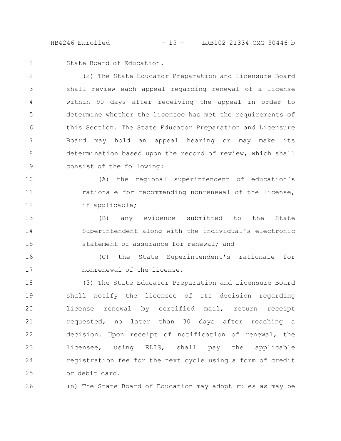HB4246 Enrolled - 15 - LRB102 21334 CMG 30446 b

State Board of Education. 1

(2) The State Educator Preparation and Licensure Board shall review each appeal regarding renewal of a license within 90 days after receiving the appeal in order to determine whether the licensee has met the requirements of this Section. The State Educator Preparation and Licensure Board may hold an appeal hearing or may make its determination based upon the record of review, which shall consist of the following: 2 3 4 5 6 7 8 9

(A) the regional superintendent of education's rationale for recommending nonrenewal of the license, if applicable; 10 11 12

(B) any evidence submitted to the State Superintendent along with the individual's electronic statement of assurance for renewal; and 13 14 15

(C) the State Superintendent's rationale for nonrenewal of the license. 16 17

(3) The State Educator Preparation and Licensure Board shall notify the licensee of its decision regarding license renewal by certified mail, return receipt requested, no later than 30 days after reaching a decision. Upon receipt of notification of renewal, the licensee, using ELIS, shall pay the applicable registration fee for the next cycle using a form of credit or debit card. 18 19 20 21 22 23 24 25

(n) The State Board of Education may adopt rules as may be 26